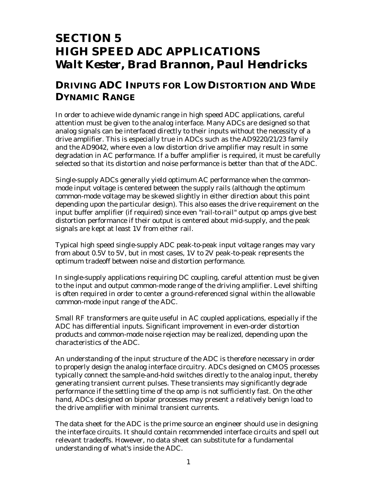# **SECTION 5 HIGH SPEED ADC APPLICATIONS** *Walt Kester, Brad Brannon, Paul Hendricks*

# **DRIVING ADC INPUTS FOR LOW DISTORTION AND WIDE DYNAMIC RANGE**

In order to achieve wide dynamic range in high speed ADC applications, careful attention must be given to the analog interface. Many ADCs are designed so that analog signals can be interfaced directly to their inputs without the necessity of a drive amplifier. This is especially true in ADCs such as the AD9220/21/23 family and the AD9042, where even a low distortion drive amplifier may result in some degradation in AC performance. If a buffer amplifier is required, it must be carefully selected so that its distortion and noise performance is better than that of the ADC.

Single-supply ADCs generally yield optimum AC performance when the commonmode input voltage is centered between the supply rails (although the optimum common-mode voltage may be skewed slightly in either direction about this point depending upon the particular design). This also eases the drive requirement on the input buffer amplifier (if required) since even "rail-to-rail" output op amps give best distortion performance if their output is centered about mid-supply, and the peak signals are kept at least 1V from either rail.

Typical high speed single-supply ADC peak-to-peak input voltage ranges may vary from about 0.5V to 5V, but in most cases, 1V to 2V peak-to-peak represents the optimum tradeoff between noise and distortion performance.

In single-supply applications requiring DC coupling, careful attention must be given to the input and output common-mode range of the driving amplifier. Level shifting is often required in order to center a ground-referenced signal within the allowable common-mode input range of the ADC.

Small RF transformers are quite useful in AC coupled applications, especially if the ADC has differential inputs. Significant improvement in even-order distortion products and common-mode noise rejection may be realized, depending upon the characteristics of the ADC.

An understanding of the input structure of the ADC is therefore necessary in order to properly design the analog interface circuitry. ADCs designed on CMOS processes typically connect the sample-and-hold switches directly to the analog input, thereby generating transient current pulses. These transients may significantly degrade performance if the settling time of the op amp is not sufficiently fast. On the other hand, ADCs designed on bipolar processes may present a relatively benign load to the drive amplifier with minimal transient currents.

The data sheet for the ADC is the prime source an engineer should use in designing the interface circuits. It should contain recommended interface circuits and spell out relevant tradeoffs. However, no data sheet can substitute for a fundamental understanding of what's inside the ADC.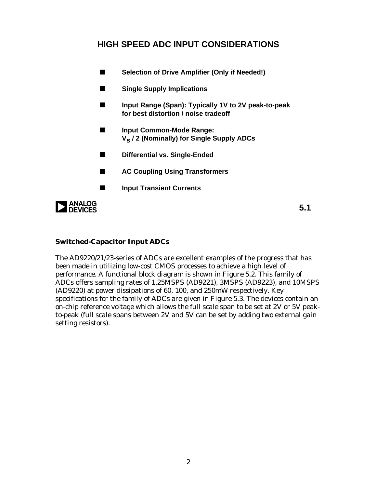### **HIGH SPEED ADC INPUT CONSIDERATIONS**

■ Selection of Drive Amplifier (Only if Needed!) **n** Single Supply Implications ■ Input Range (Span): Typically 1V to 2V peak-to-peak **for best distortion / noise tradeoff**  $\blacksquare$  Input Common-Mode Range: **Vs / 2 (Nominally) for Single Supply ADCs n** Differential vs. Single-Ended ■ AC Coupling Using Transformers **ANALOG**<br>DEVICES  $\blacksquare$  Input Transient Currents

**5.1**

### **Switched-Capacitor Input ADCs**

The AD9220/21/23-series of ADCs are excellent examples of the progress that has been made in utilizing low-cost CMOS processes to achieve a high level of performance. A functional block diagram is shown in Figure 5.2. This family of ADCs offers sampling rates of 1.25MSPS (AD9221), 3MSPS (AD9223), and 10MSPS (AD9220) at power dissipations of 60, 100, and 250mW respectively. Key specifications for the family of ADCs are given in Figure 5.3. The devices contain an on-chip reference voltage which allows the full scale span to be set at 2V or 5V peakto-peak (full scale spans between 2V and 5V can be set by adding two external gain setting resistors).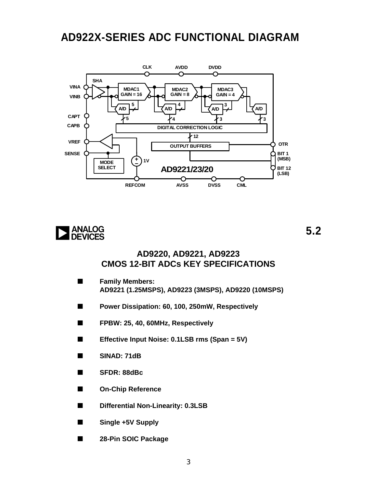# **AD922X-SERIES ADC FUNCTIONAL DIAGRAM**





**5.2**

## **AD9220, AD9221, AD9223 CMOS 12-BIT ADCs KEY SPECIFICATIONS**

- **n** Family Members: **AD9221 (1.25MSPS), AD9223 (3MSPS), AD9220 (10MSPS)**
- Power Dissipation: 60, 100, 250mW, Respectively
- **E** FPBW: 25, 40, 60MHz, Respectively
- **Effective Input Noise: 0.1LSB rms (Span = 5V)**
- **N** SINAD: 71dB
- n **SFDR: 88dBc**
- **n** On-Chip Reference
- Differential Non-Linearity: 0.3LSB
- **No. 3** Single +5V Supply
- **n** 28-Pin SOIC Package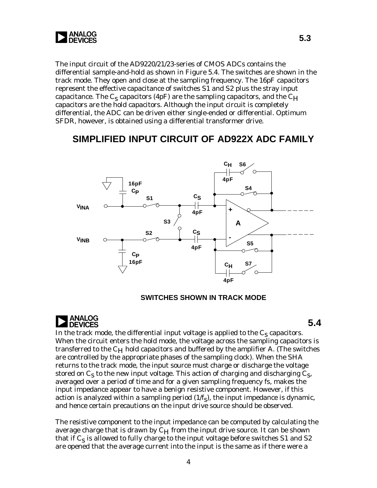

The input circuit of the AD9220/21/23-series of CMOS ADCs contains the differential sample-and-hold as shown in Figure 5.4. The switches are shown in the track mode. They open and close at the sampling frequency. The 16pF capacitors represent the effective capacitance of switches S1 and S2 plus the stray input capacitance. The  $\textsf{C}_\mathbf{S}$  capacitors (4pF) are the sampling capacitors, and the  $\textsf{C}_\mathbf{H}$ capacitors are the hold capacitors. Although the input circuit is completely differential, the ADC can be driven either single-ended or differential. Optimum SFDR, however, is obtained using a differential transformer drive.

## **SIMPLIFIED INPUT CIRCUIT OF AD922X ADC FAMILY**



### **SWITCHES SHOWN IN TRACK MODE**

**ANALOG**<br>DEVICES

**5.4**

In the track mode, the differential input voltage is applied to the  $\textsf{C}_\mathbf{S}$  capacitors. When the circuit enters the hold mode, the voltage across the sampling capacitors is transferred to the  $C_H$  hold capacitors and buffered by the amplifier A. (The switches are controlled by the appropriate phases of the sampling clock). When the SHA returns to the track mode, the input source must charge or discharge the voltage stored on  $\textsf{C}_\mathbf{S}$  to the new input voltage. This action of charging and discharging  $\textsf{C}_\mathbf{S}$ , averaged over a period of time and for a given sampling frequency fs, makes the input impedance appear to have a benign resistive component. However, if this action is analyzed within a sampling period  $(1/f_s)$ , the input impedance is dynamic, and hence certain precautions on the input drive source should be observed.

The resistive component to the input impedance can be computed by calculating the average charge that is drawn by  $C_H$  from the input drive source. It can be shown that if  $\textsf{C}_\mathbf{S}$  is allowed to fully charge to the input voltage before switches S1 and S2 are opened that the average current into the input is the same as if there were a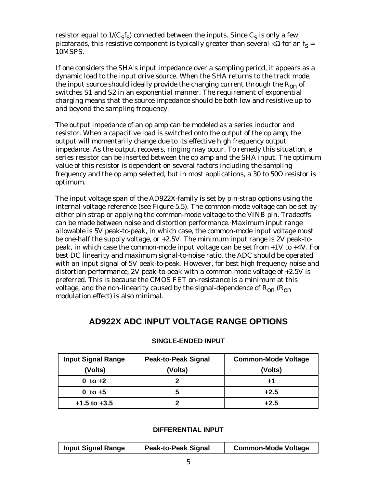resistor equal to 1/( $\rm{C_S}f_S$ ) connected between the inputs. Since  $\rm{C_S}$  is only a few picofarads, this resistive component is typically greater than several kΩ for an  $\rm{f}_{\bf{S}}$  = 10MSPS.

If one considers the SHA's input impedance over a sampling period, it appears as a dynamic load to the input drive source. When the SHA returns to the track mode, the input source should ideally provide the charging current through the  $R_{on}$  of switches S1 and S2 in an exponential manner. The requirement of exponential charging means that the source impedance should be both low and resistive up to and beyond the sampling frequency.

The output impedance of an op amp can be modeled as a series inductor and resistor. When a capacitive load is switched onto the output of the op amp, the output will momentarily change due to its effective high frequency output impedance. As the output recovers, ringing may occur. To remedy this situation, a series resistor can be inserted between the op amp and the SHA input. The optimum value of this resistor is dependent on several factors including the sampling frequency and the op amp selected, but in most applications, a 30 to 50 $\Omega$  resistor is optimum.

The input voltage span of the AD922X-family is set by pin-strap options using the internal voltage reference (see Figure 5.5). The common-mode voltage can be set by either pin strap or applying the common-mode voltage to the VINB pin. Tradeoffs can be made between noise and distortion performance. Maximum input range allowable is 5V peak-to-peak, in which case, the common-mode input voltage must be one-half the supply voltage, or +2.5V. The minimum input range is 2V peak-topeak, in which case the common-mode input voltage can be set from +1V to +4V. For best DC linearity and maximum signal-to-noise ratio, the ADC should be operated with an input signal of 5V peak-to-peak. However, for best high frequency noise and distortion performance, 2V peak-to-peak with a common-mode voltage of +2.5V is preferred. This is because the CMOS FET on-resistance is a minimum at this voltage, and the non-linearity caused by the signal-dependence of  $R_{on}$  ( $R_{on}$ ) modulation effect) is also minimal.

### **AD922X ADC INPUT VOLTAGE RANGE OPTIONS**

| <b>Input Signal Range</b> | <b>Peak-to-Peak Signal</b> | <b>Common-Mode Voltage</b> |
|---------------------------|----------------------------|----------------------------|
| (Volts)                   | (Volts)                    | (Volts)                    |
| 0 to $+2$                 |                            | $^{\mathrm{+1}}$           |
| 0 to $+5$                 | C                          | $+2.5$                     |
| $+1.5$ to $+3.5$          |                            | $+2.5$                     |

### **SINGLE-ENDED INPUT**

#### **DIFFERENTIAL INPUT**

| <b>Common-Mode Voltage</b><br><b>Input Signal Range</b><br><b>Peak-to-Peak Signal</b> |
|---------------------------------------------------------------------------------------|
|---------------------------------------------------------------------------------------|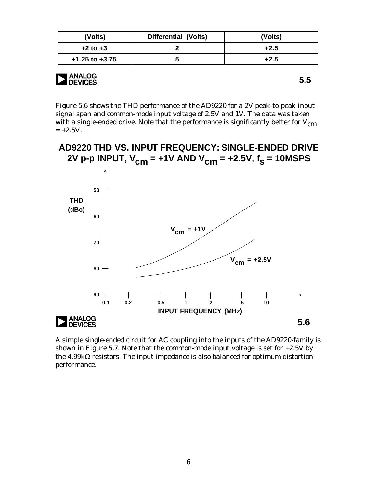| (Volts)            | <b>Differential (Volts)</b> | (Volts) |
|--------------------|-----------------------------|---------|
| $+2$ to $+3$       |                             | $+2.5$  |
| $+1.25$ to $+3.75$ | Ð                           | +2.5    |

**ANALOG**<br>DEVICES

**5.5**

Figure 5.6 shows the THD performance of the AD9220 for a 2V peak-to-peak input signal span and common-mode input voltage of 2.5V and 1V. The data was taken with a single-ended drive. Note that the performance is significantly better for  $V_{cm}$  $= +2.5V.$ 

# **AD9220 THD VS. INPUT FREQUENCY: SINGLE-ENDED DRIVE 2V p-p INPUT, Vcm = +1V AND Vcm = +2.5V, fs = 10MSPS**



A simple single-ended circuit for AC coupling into the inputs of the AD9220-family is shown in Figure 5.7. Note that the common-mode input voltage is set for +2.5V by the 4.99kΩ resistors. The input impedance is also balanced for optimum distortion performance.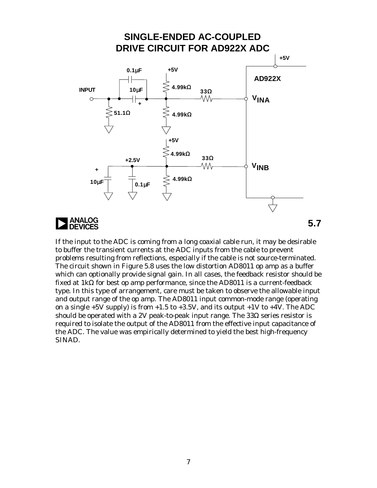

If the input to the ADC is coming from a long coaxial cable run, it may be desirable to buffer the transient currents at the ADC inputs from the cable to prevent problems resulting from reflections, especially if the cable is not source-terminated. The circuit shown in Figure 5.8 uses the low distortion AD8011 op amp as a buffer which can optionally provide signal gain. In all cases, the feedback resistor should be fixed at 1kΩ for best op amp performance, since the AD8011 is a current-feedback type. In this type of arrangement, care must be taken to observe the allowable input and output range of the op amp. The AD8011 input common-mode range (operating on a single  $+5V$  supply) is from  $+1.5$  to  $+3.5V$ , and its output  $+1V$  to  $+4V$ . The ADC should be operated with a 2V peak-to-peak input range. The  $33\Omega$  series resistor is required to isolate the output of the AD8011 from the effective input capacitance of the ADC. The value was empirically determined to yield the best high-frequency SINAD.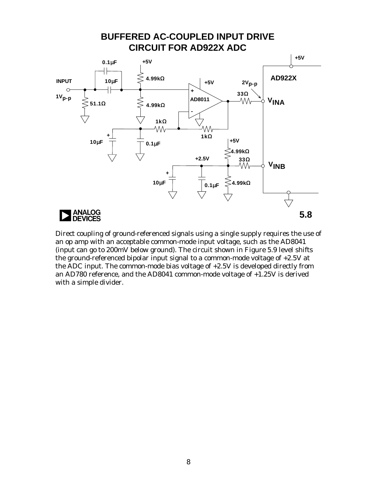

Direct coupling of ground-referenced signals using a single supply requires the use of an op amp with an acceptable common-mode input voltage, such as the AD8041 (input can go to 200mV below ground). The circuit shown in Figure 5.9 level shifts the ground-referenced bipolar input signal to a common-mode voltage of +2.5V at the ADC input. The common-mode bias voltage of +2.5V is developed directly from an AD780 reference, and the AD8041 common-mode voltage of +1.25V is derived with a simple divider.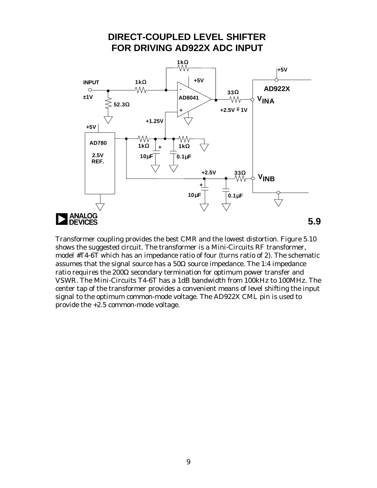

Transformer coupling provides the best CMR and the lowest distortion. Figure 5.10 shows the suggested circuit. The transformer is a Mini-Circuits RF transformer, model #T4-6T which has an impedance ratio of four (turns ratio of 2). The schematic assumes that the signal source has a  $50\Omega$  source impedance. The 1:4 impedance ratio requires the  $200\Omega$  secondary termination for optimum power transfer and VSWR. The Mini-Circuits T4-6T has a 1dB bandwidth from 100kHz to 100MHz. The center tap of the transformer provides a convenient means of level shifting the input signal to the optimum common-mode voltage. The AD922X CML pin is used to provide the +2.5 common-mode voltage.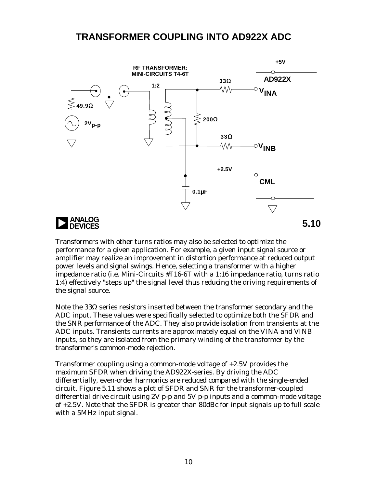## **TRANSFORMER COUPLING INTO AD922X ADC**



Transformers with other turns ratios may also be selected to optimize the performance for a given application. For example, a given input signal source or amplifier may realize an improvement in distortion performance at reduced output power levels and signal swings. Hence, selecting a transformer with a higher impedance ratio (i.e. Mini-Circuits #T16-6T with a 1:16 impedance ratio, turns ratio 1:4) effectively "steps up" the signal level thus reducing the driving requirements of the signal source.

Note the 33 $\Omega$  series resistors inserted between the transformer secondary and the ADC input. These values were specifically selected to optimize both the SFDR and the SNR performance of the ADC. They also provide isolation from transients at the ADC inputs. Transients currents are approximately equal on the VINA and VINB inputs, so they are isolated from the primary winding of the transformer by the transformer's common-mode rejection.

Transformer coupling using a common-mode voltage of +2.5V provides the maximum SFDR when driving the AD922X-series. By driving the ADC differentially, even-order harmonics are reduced compared with the single-ended circuit. Figure 5.11 shows a plot of SFDR and SNR for the transformer-coupled differential drive circuit using 2V p-p and 5V p-p inputs and a common-mode voltage of +2.5V. Note that the SFDR is greater than 80dBc for input signals up to full scale with a 5MHz input signal.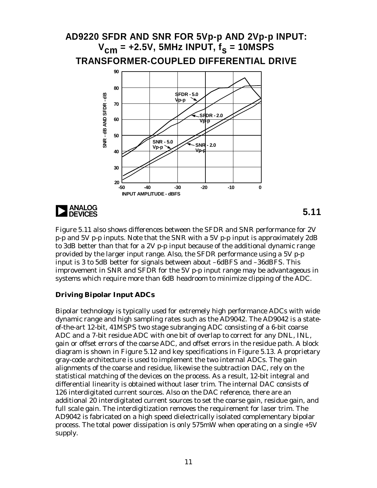

Figure 5.11 also shows differences between the SFDR and SNR performance for 2V p-p and 5V p-p inputs. Note that the SNR with a 5V p-p input is approximately 2dB to 3dB better than that for a 2V p-p input because of the additional dynamic range provided by the larger input range. Also, the SFDR performance using a 5V p-p input is 3 to 5dB better for signals between about –6dBFS and –36dBFS. This improvement in SNR and SFDR for the 5V p-p input range may be advantageous in systems which require more than 6dB headroom to minimize clipping of the ADC.

### **Driving Bipolar Input ADCs**

Bipolar technology is typically used for extremely high performance ADCs with wide dynamic range and high sampling rates such as the AD9042. The AD9042 is a stateof-the-art 12-bit, 41MSPS two stage subranging ADC consisting of a 6-bit coarse ADC and a 7-bit residue ADC with one bit of overlap to correct for any DNL, INL, gain or offset errors of the coarse ADC, and offset errors in the residue path. A block diagram is shown in Figure 5.12 and key specifications in Figure 5.13. A proprietary gray-code architecture is used to implement the two internal ADCs. The gain alignments of the coarse and residue, likewise the subtraction DAC, rely on the statistical matching of the devices on the process. As a result, 12-bit integral and differential linearity is obtained without laser trim. The internal DAC consists of 126 interdigitated current sources. Also on the DAC reference, there are an additional 20 interdigitated current sources to set the coarse gain, residue gain, and full scale gain. The interdigitization removes the requirement for laser trim. The AD9042 is fabricated on a high speed dielectrically isolated complementary bipolar process. The total power dissipation is only 575mW when operating on a single +5V supply.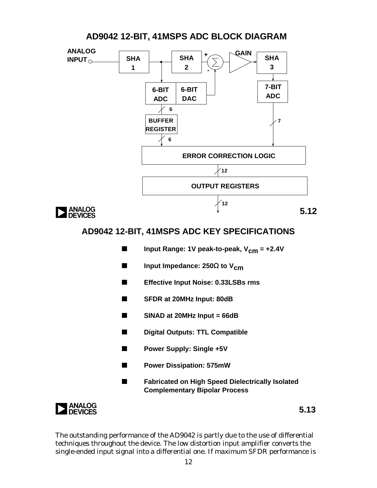

**AD9042 12-BIT, 41MSPS ADC BLOCK DIAGRAM**



**5.13**

The outstanding performance of the AD9042 is partly due to the use of differential techniques throughout the device. The low distortion input amplifier converts the single-ended input signal into a differential one. If maximum SFDR performance is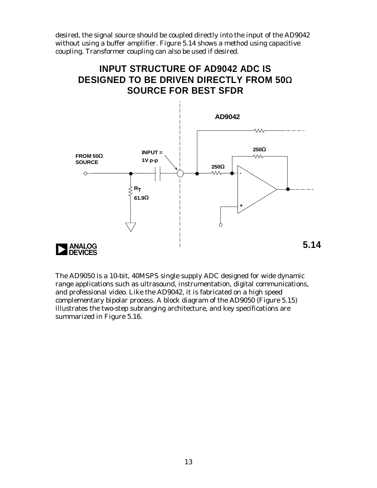desired, the signal source should be coupled directly into the input of the AD9042 without using a buffer amplifier. Figure 5.14 shows a method using capacitive coupling. Transformer coupling can also be used if desired.

## **INPUT STRUCTURE OF AD9042 ADC IS DESIGNED TO BE DRIVEN DIRECTLY FROM 50**Ω **SOURCE FOR BEST SFDR**



The AD9050 is a 10-bit, 40MSPS single supply ADC designed for wide dynamic range applications such as ultrasound, instrumentation, digital communications, and professional video. Like the AD9042, it is fabricated on a high speed complementary bipolar process. A block diagram of the AD9050 (Figure 5.15) illustrates the two-step subranging architecture, and key specifications are summarized in Figure 5.16.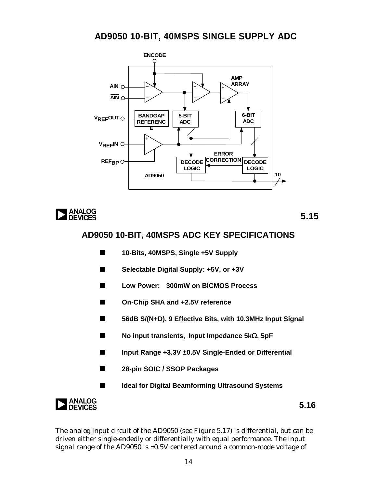**AD9050 10-BIT, 40MSPS SINGLE SUPPLY ADC**





## **AD9050 10-BIT, 40MSPS ADC KEY SPECIFICATIONS**

- 10-Bits, 40MSPS, Single +5V Supply
- Selectable Digital Supply: +5V, or +3V
- Low Power: 300mW on BiCMOS Process
- On-Chip SHA and +2.5V reference
- 56dB S/(N+D), 9 Effective Bits, with 10.3MHz Input Signal
- n **No input transients, Input Impedance 5k**Ω**, 5pF**
- Input Range +3.3V ±0.5V Single-Ended or Differential
- 28-pin SOIC / SSOP Packages
- **Ideal for Digital Beamforming Ultrasound Systems**



**5.16**

The analog input circuit of the AD9050 (see Figure 5.17) is differential, but can be driven either single-endedly or differentially with equal performance. The input signal range of the AD9050 is  $\pm 0.5V$  centered around a common-mode voltage of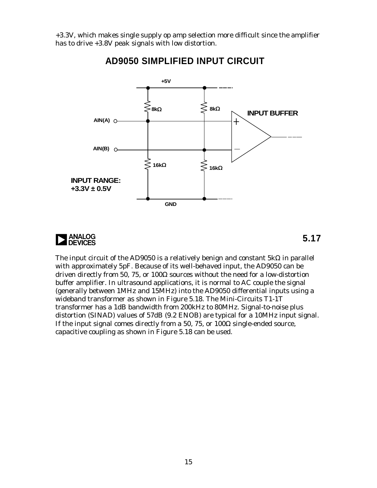+3.3V, which makes single supply op amp selection more difficult since the amplifier has to drive +3.8V peak signals with low distortion.



### **AD9050 SIMPLIFIED INPUT CIRCUIT**



**5.17**

The input circuit of the AD9050 is a relatively benign and constant 5k $\Omega$  in parallel with approximately 5pF. Because of its well-behaved input, the AD9050 can be driven directly from 50, 75, or 100 $\Omega$  sources without the need for a low-distortion buffer amplifier. In ultrasound applications, it is normal to AC couple the signal (generally between 1MHz and 15MHz) into the AD9050 differential inputs using a wideband transformer as shown in Figure 5.18. The Mini-Circuits T1-1T transformer has a 1dB bandwidth from 200kHz to 80MHz. Signal-to-noise plus distortion (SINAD) values of 57dB (9.2 ENOB) are typical for a 10MHz input signal. If the input signal comes directly from a 50, 75, or  $100\Omega$  single-ended source, capacitive coupling as shown in Figure 5.18 can be used.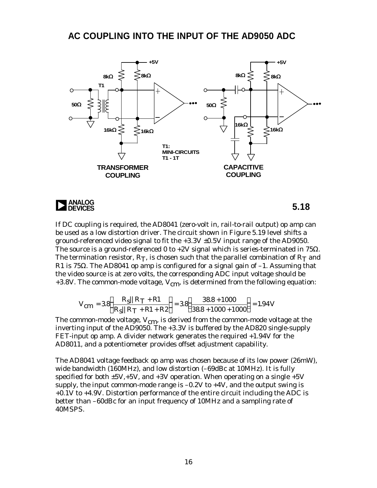### **AC COUPLING INTO THE INPUT OF THE AD9050 ADC**



**ANALOG**<br>**DEVICES** 

**5.18**

If DC coupling is required, the AD8041 (zero-volt in, rail-to-rail output) op amp can be used as a low distortion driver. The circuit shown in Figure 5.19 level shifts a ground-referenced video signal to fit the  $+3.3V \pm 0.5V$  input range of the AD9050. The source is a ground-referenced 0 to  $+2V$  signal which is series-terminated in 75 $\Omega$ . The termination resistor,  $R_T$ , is chosen such that the parallel combination of  $R_T$  and R1 is 75 $\Omega$ . The AD8041 op amp is configured for a signal gain of -1. Assuming that the video source is at zero volts, the corresponding ADC input voltage should be +3.8V. The common-mode voltage,  $V_{cm}$ , is determined from the following equation:

$$
V_{\text{cm}} = 3.8 \left( \frac{R_{\text{S}} || R_{\text{T}} + R1}{R_{\text{S}} || R_{\text{T}} + R1 + R2} \right) = 3.8 \left( \frac{38.8 + 1000}{38.8 + 1000 + 1000} \right) = 1.94 \text{V}
$$

The common-mode voltage,  $V_{\text{cm}}$ , is derived from the common-mode voltage at the inverting input of the AD9050. The +3.3V is buffered by the AD820 single-supply FET-input op amp. A divider network generates the required +1.94V for the AD8011, and a potentiometer provides offset adjustment capability.

The AD8041 voltage feedback op amp was chosen because of its low power (26mW), wide bandwidth (160MHz), and low distortion (–69dBc at 10MHz). It is fully specified for both  $\pm 5V, \pm 5V$ , and  $\pm 3V$  operation. When operating on a single  $\pm 5V$ supply, the input common-mode range is  $-0.2V$  to  $+4V$ , and the output swing is +0.1V to +4.9V. Distortion performance of the entire circuit including the ADC is better than –60dBc for an input frequency of 10MHz and a sampling rate of 40MSPS.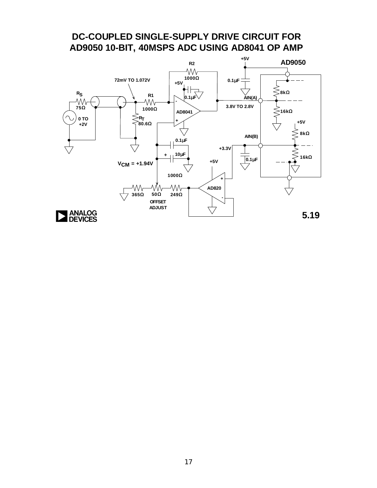## **DC-COUPLED SINGLE-SUPPLY DRIVE CIRCUIT FOR AD9050 10-BIT, 40MSPS ADC USING AD8041 OP AMP**

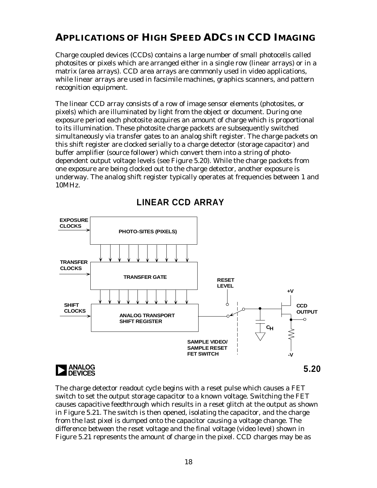# **APPLICATIONS OF HIGH SPEED ADCS IN CCD IMAGING**

Charge coupled devices (CCDs) contains a large number of small photocells called photosites or pixels which are arranged either in a single row (linear arrays) or in a matrix (area arrays). CCD area arrays are commonly used in video applications, while linear arrays are used in facsimile machines, graphics scanners, and pattern recognition equipment.

The linear CCD array consists of a row of image sensor elements (photosites, or pixels) which are illuminated by light from the object or document. During one exposure period each photosite acquires an amount of charge which is proportional to its illumination. These photosite charge packets are subsequently switched simultaneously via transfer gates to an analog shift register. The charge packets on this shift register are clocked serially to a charge detector (storage capacitor) and buffer amplifier (source follower) which convert them into a string of photodependent output voltage levels (see Figure 5.20). While the charge packets from one exposure are being clocked out to the charge detector, another exposure is underway. The analog shift register typically operates at frequencies between 1 and 10MHz.



# **LINEAR CCD ARRAY**

The charge detector readout cycle begins with a reset pulse which causes a FET switch to set the output storage capacitor to a known voltage. Switching the FET causes capacitive feedthrough which results in a reset glitch at the output as shown in Figure 5.21. The switch is then opened, isolating the capacitor, and the charge from the last pixel is dumped onto the capacitor causing a voltage change. The difference between the reset voltage and the final voltage (video level) shown in Figure 5.21 represents the amount of charge in the pixel. CCD charges may be as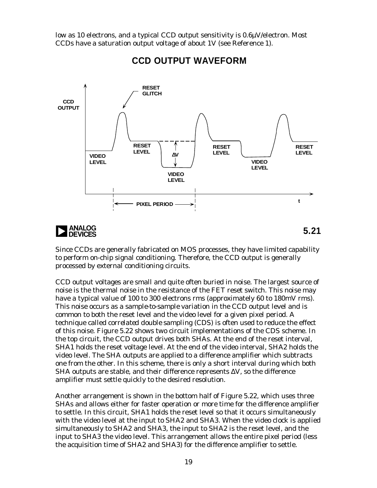low as 10 electrons, and a typical CCD output sensitivity is 0.6µV/electron. Most CCDs have a saturation output voltage of about 1V (see Reference 1).



### **CCD OUTPUT WAVEFORM**

**ANALOG<br>DEVICES** 

**5.21**

Since CCDs are generally fabricated on MOS processes, they have limited capability to perform on-chip signal conditioning. Therefore, the CCD output is generally processed by external conditioning circuits.

CCD output voltages are small and quite often buried in noise. The largest source of noise is the thermal noise in the resistance of the FET reset switch. This noise may have a typical value of 100 to 300 electrons rms (approximately 60 to 180mV rms). This noise occurs as a *sample-to-sample* variation in the CCD output level and is common to both the reset level and the video level for a given pixel period. A technique called *correlated double sampling* (CDS) is often used to reduce the effect of this noise. Figure 5.22 shows two circuit implementations of the CDS scheme. In the top circuit, the CCD output drives both SHAs. At the end of the reset interval, SHA1 holds the reset voltage level. At the end of the video interval, SHA2 holds the video level. The SHA outputs are applied to a difference amplifier which subtracts one from the other. In this scheme, there is only a short interval during which both SHA outputs are stable, and their difference represents  $\Delta V$ , so the difference amplifier must settle quickly to the desired resolution.

Another arrangement is shown in the bottom half of Figure 5.22, which uses three SHAs and allows either for faster operation or more time for the difference amplifier to settle. In this circuit, SHA1 holds the reset level so that it occurs simultaneously with the video level at the input to SHA2 and SHA3. When the video clock is applied simultaneously to SHA2 and SHA3, the input to SHA2 is the reset level, and the input to SHA3 the video level. This arrangement allows the entire pixel period (less the acquisition time of SHA2 and SHA3) for the difference amplifier to settle.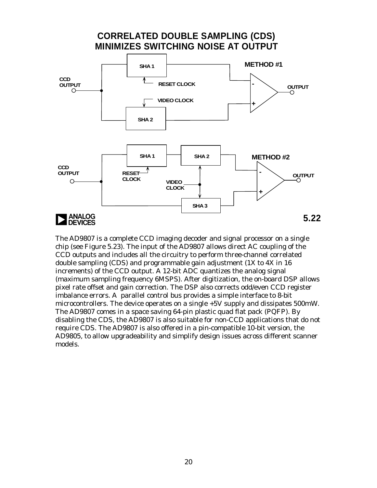### **CORRELATED DOUBLE SAMPLING (CDS) MINIMIZES SWITCHING NOISE AT OUTPUT**



The AD9807 is a complete CCD imaging decoder and signal processor on a single chip (see Figure 5.23). The input of the AD9807 allows direct AC coupling of the CCD outputs and includes all the circuitry to perform three-channel correlated double sampling (CDS) and programmable gain adjustment (1X to 4X in 16 increments) of the CCD output. A 12-bit ADC quantizes the analog signal (maximum sampling frequency 6MSPS). After digitization, the on-board DSP allows pixel rate offset and gain correction. The DSP also corrects odd/even CCD register imbalance errors. A parallel control bus provides a simple interface to 8-bit microcontrollers. The device operates on a single +5V supply and dissipates 500mW. The AD9807 comes in a space saving 64-pin plastic quad flat pack (PQFP). By disabling the CDS, the AD9807 is also suitable for non-CCD applications that do not require CDS. The AD9807 is also offered in a pin-compatible 10-bit version, the AD9805, to allow upgradeability and simplify design issues across different scanner models.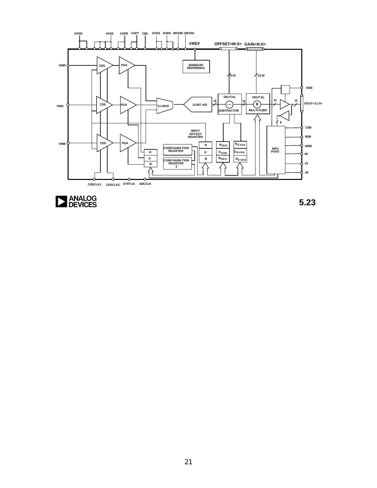



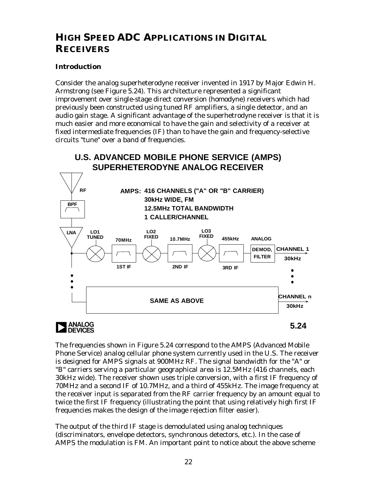# **HIGH SPEED ADC APPLICATIONS IN DIGITAL RECEIVERS**

### **Introduction**

Consider the analog superheterodyne receiver invented in 1917 by Major Edwin H. Armstrong (see Figure 5.24). This architecture represented a significant improvement over single-stage direct conversion (homodyne) receivers which had previously been constructed using tuned RF amplifiers, a single detector, and an audio gain stage. A significant advantage of the superhetrodyne receiver is that it is much easier and more economical to have the gain and selectivity of a receiver at fixed intermediate frequencies (IF) than to have the gain and frequency-selective circuits "tune" over a band of frequencies.



The frequencies shown in Figure 5.24 correspond to the AMPS (Advanced Mobile Phone Service) analog cellular phone system currently used in the U.S. The receiver is designed for AMPS signals at 900MHz RF. The signal bandwidth for the "A" or "B" carriers serving a particular geographical area is 12.5MHz (416 channels, each 30kHz wide). The receiver shown uses triple conversion, with a first IF frequency of 70MHz and a second IF of 10.7MHz, and a third of 455kHz. The image frequency at the receiver input is separated from the RF carrier frequency by an amount equal to twice the first IF frequency (illustrating the point that using relatively high first IF frequencies makes the design of the image rejection filter easier).

The output of the third IF stage is demodulated using analog techniques (discriminators, envelope detectors, synchronous detectors, etc.). In the case of AMPS the modulation is FM. An important point to notice about the above scheme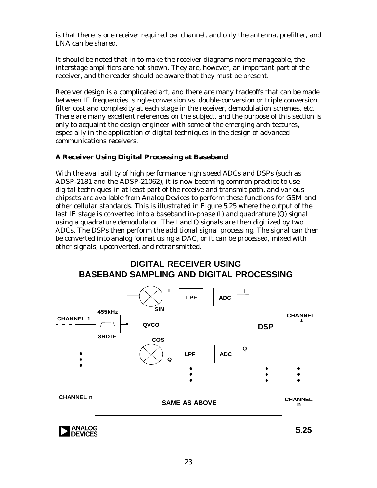is that there is *one receiver required per channel*, and only the antenna, prefilter, and LNA can be shared.

It should be noted that in to make the receiver diagrams more manageable, the interstage amplifiers are not shown. They are, however, an important part of the receiver, and the reader should be aware that they must be present.

Receiver design is a complicated art, and there are many tradeoffs that can be made between IF frequencies, single-conversion vs. double-conversion or triple conversion, filter cost and complexity at each stage in the receiver, demodulation schemes, etc. There are many excellent references on the subject, and the purpose of this section is only to acquaint the design engineer with some of the emerging architectures, especially in the application of digital techniques in the design of advanced communications receivers.

### **A Receiver Using Digital Processing at Baseband**

With the availability of high performance high speed ADCs and DSPs (such as ADSP-2181 and the ADSP-21062), it is now becoming common practice to use digital techniques in at least part of the receive and transmit path, and various chipsets are available from Analog Devices to perform these functions for GSM and other cellular standards. This is illustrated in Figure 5.25 where the output of the last IF stage is converted into a baseband in-phase (I) and quadrature (Q) signal using a quadrature demodulator. The I and Q signals are then digitized by two ADCs. The DSPs then perform the additional signal processing. The signal can then be converted into analog format using a DAC, or it can be processed, mixed with other signals, upconverted, and retransmitted.

**DIGITAL RECEIVER USING**



23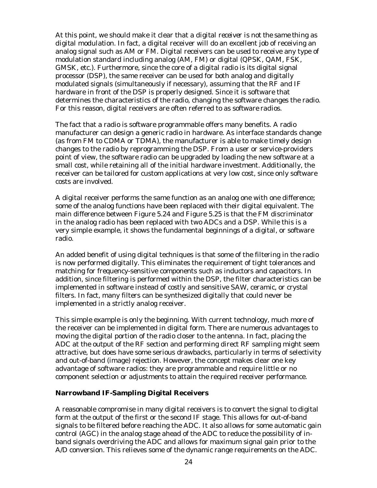At this point, we should make it clear that *a digital receiver is not the same thing as digital modulation*. In fact, a digital receiver will do an excellent job of receiving an analog signal such as AM or FM. Digital receivers can be used to receive any type of modulation standard including analog (AM, FM) or digital (QPSK, QAM, FSK, GMSK, etc.). Furthermore, since the core of a digital radio is its digital signal processor (DSP), the same receiver can be used for both analog and digitally modulated signals (simultaneously if necessary), assuming that the RF and IF hardware in front of the DSP is properly designed. Since it is software that determines the characteristics of the radio, changing the software changes the radio. For this reason, digital receivers are often referred to as *software radios*.

The fact that a radio is software programmable offers many benefits. A radio manufacturer can design a generic radio in hardware. As interface standards change (as from FM to CDMA or TDMA), the manufacturer is able to make timely design changes to the radio by reprogramming the DSP. From a user or service-providers point of view, the software radio can be upgraded by loading the new software at a small cost, while retaining all of the initial hardware investment. Additionally, the receiver can be tailored for custom applications at very low cost, since only software costs are involved.

A digital receiver performs the same function as an analog one with one difference; some of the analog functions have been replaced with their digital equivalent. The main difference between Figure 5.24 and Figure 5.25 is that the FM discriminator in the analog radio has been replaced with two ADCs and a DSP. While this is a very simple example, it shows the fundamental beginnings of a digital, or *software* radio.

An added benefit of using digital techniques is that some of the filtering in the radio is now performed digitally. This eliminates the requirement of tight tolerances and matching for frequency-sensitive components such as inductors and capacitors. In addition, since filtering is performed within the DSP, the filter characteristics can be implemented in software instead of costly and sensitive SAW, ceramic, or crystal filters. In fact, many filters can be synthesized digitally that could never be implemented in a strictly analog receiver.

This simple example is only the beginning. With current technology, much more of the receiver can be implemented in digital form. There are numerous advantages to moving the digital portion of the radio closer to the antenna. In fact, placing the ADC at the output of the RF section and performing direct RF sampling might seem attractive, but does have some serious drawbacks, particularly in terms of selectivity and out-of-band (image) rejection. However, the concept makes clear one key advantage of software radios: they are programmable and require little or no component selection or adjustments to attain the required receiver performance.

### **Narrowband IF-Sampling Digital Receivers**

A reasonable compromise in many digital receivers is to convert the signal to digital form at the output of the first or the second IF stage. This allows for out-of-band signals to be filtered before reaching the ADC. It also allows for some automatic gain control (AGC) in the analog stage ahead of the ADC to reduce the possibility of inband signals overdriving the ADC and allows for maximum signal gain prior to the A/D conversion. This relieves some of the dynamic range requirements on the ADC.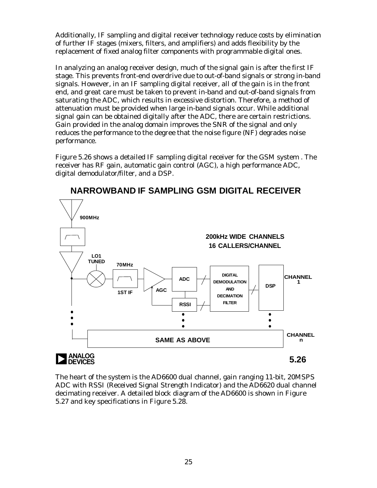Additionally, IF sampling and digital receiver technology reduce costs by elimination of further IF stages (mixers, filters, and amplifiers) and adds flexibility by the replacement of fixed analog filter components with programmable digital ones.

In analyzing an analog receiver design, much of the signal gain is after the first IF stage. This prevents front-end overdrive due to out-of-band signals or strong in-band signals. However, in an IF sampling digital receiver, all of the gain is in the front end, and great care must be taken to prevent in-band and out-of-band signals from saturating the ADC, which results in excessive distortion. Therefore, a method of attenuation must be provided when large in-band signals occur. While additional signal gain can be obtained digitally after the ADC, there are certain restrictions. Gain provided in the analog domain improves the SNR of the signal and only reduces the performance to the degree that the noise figure (NF) degrades noise performance.

Figure 5.26 shows a detailed IF sampling digital receiver for the GSM system . The receiver has RF gain, automatic gain control (AGC), a high performance ADC, digital demodulator/filter, and a DSP.



## **NARROWBAND IF SAMPLING GSM DIGITAL RECEIVER**

The heart of the system is the AD6600 dual channel, gain ranging 11-bit, 20MSPS ADC with RSSI (Received Signal Strength Indicator) and the AD6620 dual channel decimating receiver. A detailed block diagram of the AD6600 is shown in Figure 5.27 and key specifications in Figure 5.28.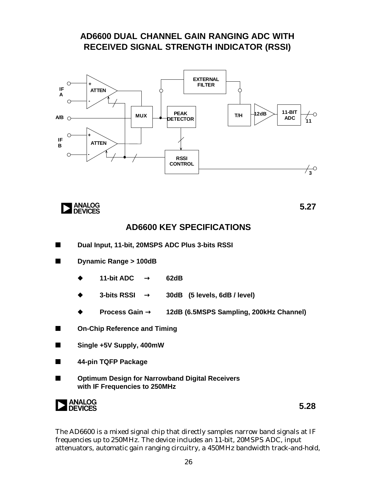## **AD6600 DUAL CHANNEL GAIN RANGING ADC WITH RECEIVED SIGNAL STRENGTH INDICATOR (RSSI)**





**5.27**

### **AD6600 KEY SPECIFICATIONS**

■ Dual Input, 11-bit, 20MSPS ADC Plus 3-bits RSSI

**n** Dynamic Range > 100dB

- 11-bit  $ADC \rightarrow 62dB$
- $3-bits RSSI \rightarrow 30dB$  (5 levels, 6dB / level)
- u **Process Gain** → **12dB (6.5MSPS Sampling, 200kHz Channel)**
- **n** On-Chip Reference and Timing
- Single +5V Supply, 400mW
- $\blacksquare$  **44-pin TQFP Package**
- **n Blue Charace Digital Propelism Design for Narrowband Digital Receivers with IF Frequencies to 250MHz**

**ANALOG**<br>**DEVICES** 

**5.28**

The AD6600 is a mixed signal chip that directly samples narrow band signals at IF frequencies up to 250MHz. The device includes an 11-bit, 20MSPS ADC, input attenuators, automatic gain ranging circuitry, a 450MHz bandwidth track-and-hold,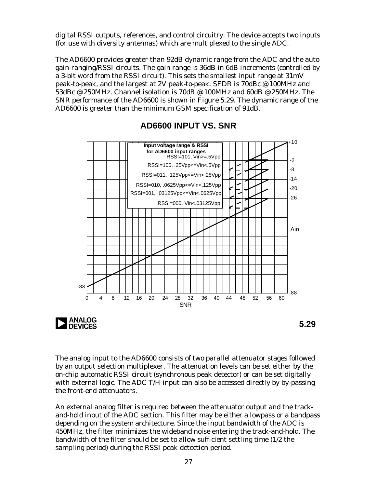digital RSSI outputs, references, and control circuitry. The device accepts two inputs (for use with diversity antennas) which are multiplexed to the single ADC.

The AD6600 provides greater than 92dB dynamic range from the ADC and the auto gain-ranging/RSSI circuits. The gain range is 36dB in 6dB increments (controlled by a 3-bit word from the RSSI circuit). This sets the smallest input range at 31mV peak-to-peak, and the largest at 2V peak-to-peak. SFDR is 70dBc @ 100MHz and 53dBc @ 250MHz. Channel isolation is 70dB @ 100MHz and 60dB @ 250MHz. The SNR performance of the AD6600 is shown in Figure 5.29. The dynamic range of the AD6600 is greater than the minimum GSM specification of 91dB.



### **AD6600 INPUT VS. SNR**

The analog input to the AD6600 consists of two parallel attenuator stages followed by an output selection multiplexer. The attenuation levels can be set either by the on-chip automatic RSSI circuit (synchronous peak detector) or can be set digitally with external logic. The ADC T/H input can also be accessed directly by by-passing the front-end attenuators.

An external analog filter is required between the attenuator output and the trackand-hold input of the ADC section. This filter may be either a lowpass or a bandpass depending on the system architecture. Since the input bandwidth of the ADC is 450MHz, the filter minimizes the wideband noise entering the track-and-hold. The bandwidth of the filter should be set to allow sufficient settling time (1/2 the sampling period) during the RSSI peak detection period.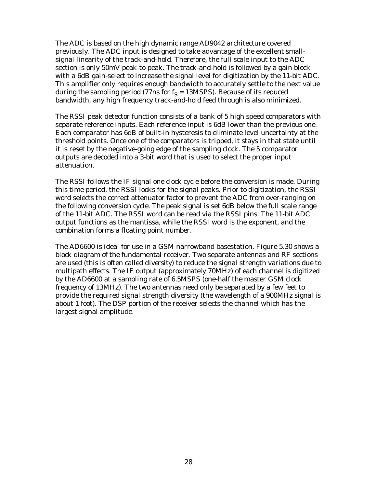The ADC is based on the high dynamic range AD9042 architecture covered previously. The ADC input is designed to take advantage of the excellent smallsignal linearity of the track-and-hold. Therefore, the full scale input to the ADC section is only 50mV peak-to-peak. The track-and-hold is followed by a gain block with a 6dB gain-select to increase the signal level for digitization by the 11-bit ADC. This amplifier only requires enough bandwidth to accurately settle to the next value during the sampling period (77 $\mathrm{ns}$  for  $\mathrm{f}_\mathrm{S}$  = 13MSPS). Because of its reduced bandwidth, any high frequency track-and-hold feed through is also minimized.

The RSSI peak detector function consists of a bank of 5 high speed comparators with separate reference inputs. Each reference input is 6dB lower than the previous one. Each comparator has 6dB of built-in hysteresis to eliminate level uncertainty at the threshold points. Once one of the comparators is tripped, it stays in that state until it is reset by the negative-going edge of the sampling clock. The 5 comparator outputs are decoded into a 3-bit word that is used to select the proper input attenuation.

The RSSI follows the IF signal one clock cycle before the conversion is made. During this time period, the RSSI looks for the signal peaks. Prior to digitization, the RSSI word selects the correct attenuator factor to prevent the ADC from over-ranging on the following conversion cycle. The peak signal is set 6dB below the full scale range of the 11-bit ADC. The RSSI word can be read via the RSSI pins. The 11-bit ADC output functions as the mantissa, while the RSSI word is the exponent, and the combination forms a floating point number.

The AD6600 is ideal for use in a GSM narrowband basestation. Figure 5.30 shows a block diagram of the fundamental receiver. Two separate antennas and RF sections are used (this is often called *diversity*) to reduce the signal strength variations due to multipath effects. The IF output (approximately 70MHz) of each channel is digitized by the AD6600 at a sampling rate of 6.5MSPS (one-half the master GSM clock frequency of 13MHz). The two antennas need only be separated by a few feet to provide the required signal strength diversity (the wavelength of a 900MHz signal is about 1 foot). The DSP portion of the receiver selects the channel which has the largest signal amplitude.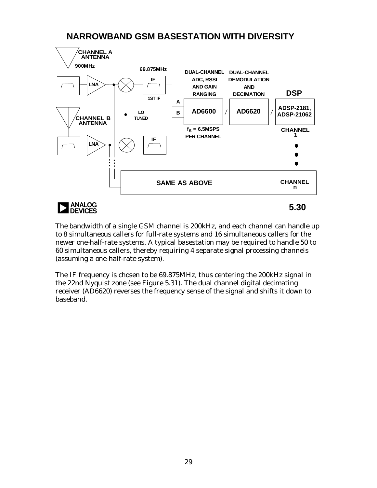## **NARROWBAND GSM BASESTATION WITH DIVERSITY**



The bandwidth of a single GSM channel is 200kHz, and each channel can handle up to 8 simultaneous callers for full-rate systems and 16 simultaneous callers for the newer one-half-rate systems. A typical basestation may be required to handle 50 to 60 simultaneous callers, thereby requiring 4 separate signal processing channels (assuming a one-half-rate system).

The IF frequency is chosen to be 69.875MHz, thus centering the 200kHz signal in the 22nd Nyquist zone (see Figure 5.31). The dual channel digital decimating receiver (AD6620) reverses the frequency sense of the signal and shifts it down to baseband.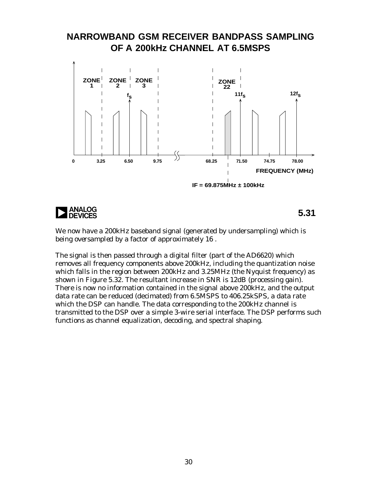# **NARROWBAND GSM RECEIVER BANDPASS SAMPLING OF A 200kHz CHANNEL AT 6.5MSPS**



# **ANALOG<br>DEVICES**

**5.31**

We now have a 200kHz baseband signal (generated by undersampling) which is being *oversampled* by a factor of approximately 16 .

The signal is then passed through a digital filter (part of the AD6620) which removes all frequency components above 200kHz, including the quantization noise which falls in the region between 200kHz and 3.25MHz (the Nyquist frequency) as shown in Figure 5.32. The resultant increase in SNR is 12dB (processing gain). There is now no information contained in the signal above 200kHz, and the output data rate can be reduced (decimated) from 6.5MSPS to 406.25kSPS, a data rate which the DSP can handle. The data corresponding to the 200kHz channel is transmitted to the DSP over a simple 3-wire serial interface. The DSP performs such functions as channel equalization, decoding, and spectral shaping.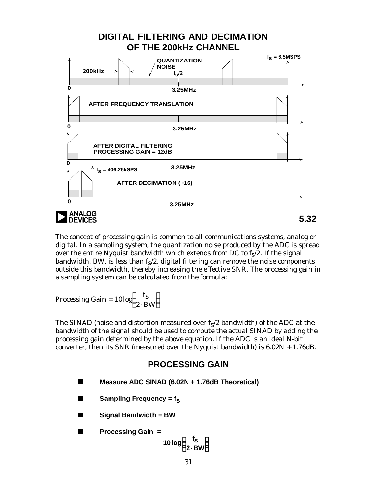

The concept of *processing gain* is common to all communications systems, analog or digital. In a sampling system, the quantization noise produced by the ADC is spread over the entire Nyquist bandwidth which extends from DC to  $\rm{f}_{\rm{S}}$ /2. If the signal bandwidth, BW, is less than  $\mathrm{f}_\mathbf{S} / 2$ , digital filtering can remove the noise components outside this bandwidth, thereby increasing the effective SNR. The processing gain in a sampling system can be calculated from the formula:

Processing Gain = 10 2  $log \left( \frac{f_S}{g} \right)$ ⋅BW ſ  $\set$  $\lambda$  $\int$ 

The SINAD (noise and distortion measured over  $\mathrm{f}_\mathbf{S} / 2$  bandwidth) of the ADC at the bandwidth of the signal should be used to compute the actual SINAD by adding the processing gain determined by the above equation. If the ADC is an ideal N-bit converter, then its SNR (measured over the Nyquist bandwidth) is 6.02N + 1.76dB.

### **PROCESSING GAIN**

- Measure ADC SINAD (6.02N + 1.76dB Theoretical)
- **Sampling Frequency = f<sub>S</sub>**

**Signal Bandwidth = BW** 

**n** Processing Gain =

$$
10\log\left(\frac{-\mathsf{f}_{\mathsf{S}}}{2\cdot\mathsf{BW}}\right)
$$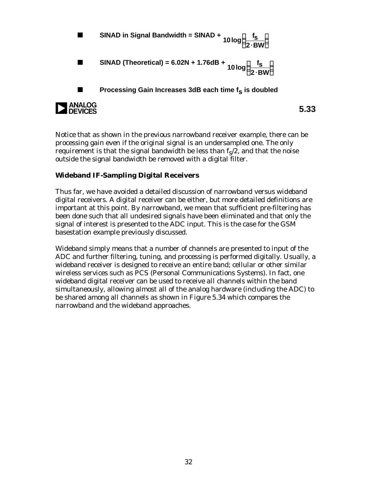



**5.33**

Notice that as shown in the previous narrowband receiver example, there can be processing gain even if the original signal is an undersampled one. The only requirement is that the signal bandwidth be less than  $\mathrm{f}_\mathbf{S}/2$ , and that the noise outside the signal bandwidth be removed with a digital filter.

### **Wideband IF-Sampling Digital Receivers**

Thus far, we have avoided a detailed discussion of *narrowband* versus *wideband* digital receivers. A digital receiver can be either, but more detailed definitions are important at this point. By *narrowband*, we mean that sufficient pre-filtering has been done such that all undesired signals have been eliminated and that only the signal of interest is presented to the ADC input. This is the case for the GSM basestation example previously discussed.

Wideband simply means that a number of channels are presented to input of the ADC and further filtering, tuning, and processing is performed digitally. Usually, a wideband receiver is designed to receive an entire band; cellular or other similar wireless services such as PCS (Personal Communications Systems). In fact, one wideband digital receiver can be used to receive *all* channels within the band simultaneously, allowing almost all of the analog hardware (including the ADC) to be shared among all channels as shown in Figure 5.34 which compares the narrowband and the wideband approaches.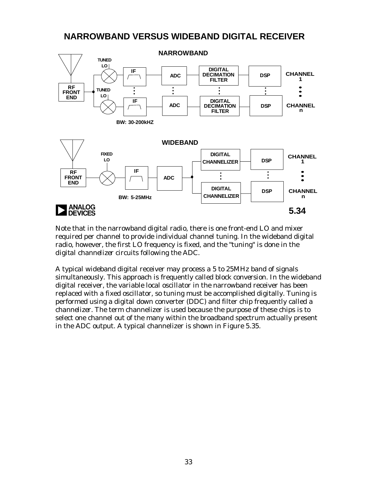

## **NARROWBAND VERSUS WIDEBAND DIGITAL RECEIVER**

Note that in the narrowband digital radio, there is one front-end LO and mixer required per channel to provide individual channel tuning. In the wideband digital radio, however, the first LO frequency is fixed, and the "tuning" is done in the *digital channelizer* circuits following the ADC.

A typical wideband digital receiver may process a 5 to 25MHz band of signals simultaneously. This approach is frequently called *block conversion*. In the wideband digital receiver, the variable local oscillator in the narrowband receiver has been replaced with a fixed oscillator, so tuning must be accomplished digitally. Tuning is performed using a digital down converter (DDC) and filter chip frequently called a *channelizer*. The term channelizer is used because the purpose of these chips is to select one channel out of the many within the broadband spectrum actually present in the ADC output. A typical channelizer is shown in Figure 5.35.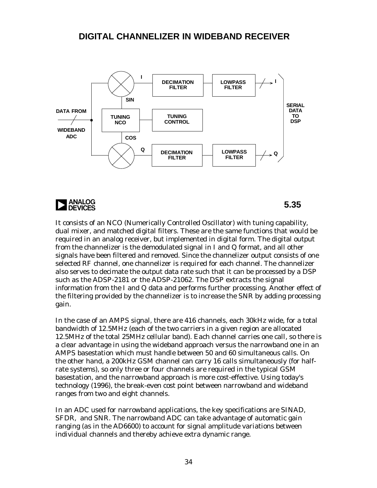### **DIGITAL CHANNELIZER IN WIDEBAND RECEIVER**



# **ANALOG**<br>DEVICES

**5.35**

It consists of an NCO (Numerically Controlled Oscillator) with tuning capability, dual mixer, and matched digital filters. These are the same functions that would be required in an analog receiver, but implemented in digital form. The digital output from the channelizer is the demodulated signal in I and Q format, and all other signals have been filtered and removed. Since the channelizer output consists of one selected RF channel, one channelizer is required for each channel. The channelizer also serves to decimate the output data rate such that it can be processed by a DSP such as the ADSP-2181 or the ADSP-21062. The DSP extracts the signal information from the I and Q data and performs further processing. Another effect of the filtering provided by the channelizer is to increase the SNR by adding processing gain.

In the case of an AMPS signal, there are 416 channels, each 30kHz wide, for a total bandwidth of 12.5MHz (each of the two carriers in a given region are allocated 12.5MHz of the total 25MHz cellular band). Each channel carries one call, so there is a clear advantage in using the wideband approach versus the narrowband one in an AMPS basestation which must handle between 50 and 60 simultaneous calls. On the other hand, a 200kHz GSM channel can carry 16 calls simultaneously (for halfrate systems), so only three or four channels are required in the typical GSM basestation, and the narrowband approach is more cost-effective. Using today's technology (1996), the break-even cost point between narrowband and wideband ranges from two and eight channels.

In an ADC used for narrowband applications, the key specifications are SINAD, SFDR, and SNR. The narrowband ADC can take advantage of automatic gain ranging (as in the AD6600) to account for signal amplitude variations between individual channels and thereby achieve extra dynamic range.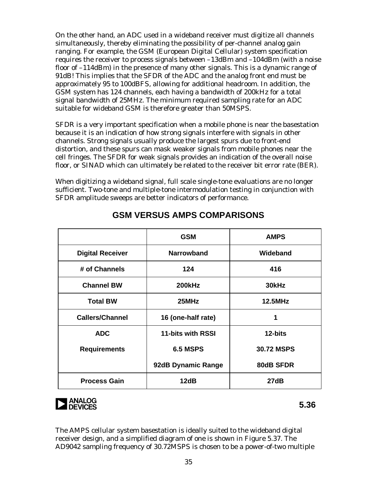On the other hand, an ADC used in a wideband receiver must digitize all channels simultaneously, thereby eliminating the possibility of per-channel analog gain ranging. For example, the GSM (European Digital Cellular) system specification requires the receiver to process signals between –13dBm and –104dBm (with a noise floor of –114dBm) in the presence of many other signals. This is a dynamic range of 91dB! This implies that the SFDR of the ADC and the analog front end must be approximately 95 to 100dBFS, allowing for additional headroom. In addition, the GSM system has 124 channels, each having a bandwidth of 200kHz for a total signal bandwidth of 25MHz. The minimum required sampling rate for an ADC suitable for wideband GSM is therefore greater than 50MSPS.

SFDR is a very important specification when a mobile phone is near the basestation because it is an indication of how strong signals interfere with signals in other channels. Strong signals usually produce the largest spurs due to front-end distortion, and these spurs can mask weaker signals from mobile phones near the cell fringes. The SFDR for weak signals provides an indication of the overall noise floor, or SINAD which can ultimately be related to the receiver bit error rate (BER).

When digitizing a wideband signal, full scale single-tone evaluations are no longer sufficient. Two-tone and multiple-tone intermodulation testing in conjunction with SFDR amplitude sweeps are better indicators of performance.

|                         | <b>GSM</b>               | <b>AMPS</b>       |
|-------------------------|--------------------------|-------------------|
| <b>Digital Receiver</b> | <b>Narrowband</b>        | Wideband          |
| # of Channels           | 124                      | 416               |
| <b>Channel BW</b>       | <b>200kHz</b>            | 30kHz             |
| <b>Total BW</b>         | 25MHz                    | <b>12.5MHz</b>    |
| <b>Callers/Channel</b>  | 16 (one-half rate)       | 1                 |
| <b>ADC</b>              | <b>11-bits with RSSI</b> | 12-bits           |
| <b>Requirements</b>     | <b>6.5 MSPS</b>          | <b>30.72 MSPS</b> |
|                         | 92dB Dynamic Range       | 80dB SFDR         |
| <b>Process Gain</b>     | 12dB                     | 27dB              |

## **GSM VERSUS AMPS COMPARISONS**

# **analog** 5.36

The AMPS cellular system basestation is ideally suited to the wideband digital receiver design, and a simplified diagram of one is shown in Figure 5.37. The AD9042 sampling frequency of 30.72MSPS is chosen to be a power-of-two multiple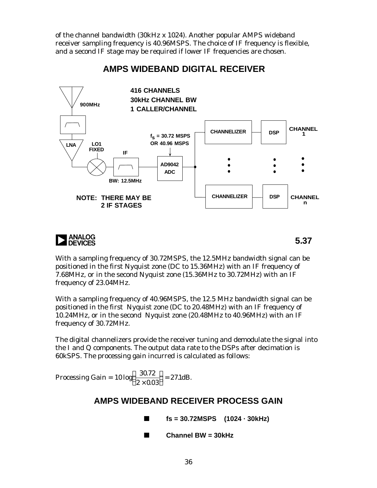of the channel bandwidth (30kHz x 1024). Another popular AMPS wideband receiver sampling frequency is 40.96MSPS. The choice of IF frequency is flexible, and a second IF stage may be required if lower IF frequencies are chosen.

### **AMPS WIDEBAND DIGITAL RECEIVER**



**ANALOG**<br>DEVICES

**5.37**

With a sampling frequency of 30.72MSPS, the 12.5MHz bandwidth signal can be positioned in the first Nyquist zone (DC to 15.36MHz) with an IF frequency of 7.68MHz, or in the second Nyquist zone (15.36MHz to 30.72MHz) with an IF frequency of 23.04MHz.

With a sampling frequency of 40.96MSPS, the 12.5 MHz bandwidth signal can be positioned in the first Nyquist zone (DC to 20.48MHz) with an IF frequency of 10.24MHz, or in the second Nyquist zone (20.48MHz to 40.96MHz) with an IF frequency of 30.72MHz.

The digital channelizers provide the receiver tuning and demodulate the signal into the I and Q components. The output data rate to the DSPs after decimation is 60kSPS. The processing gain incurred is calculated as follows:

Processing Gain =  $10 \log \frac{30.72}{2.28}$  $2 \times 0.03$  $\log \left( \frac{30.72}{2} \right) = 27.1$ . .1dB. × ſ  $\left(\frac{30.72}{2\times0.03}\right)$  $= 27.1dB$ 

### **AMPS WIDEBAND RECEIVER PROCESS GAIN**

n **fs = 30.72MSPS (1024 · 30kHz)**

**n** Channel BW = 30kHz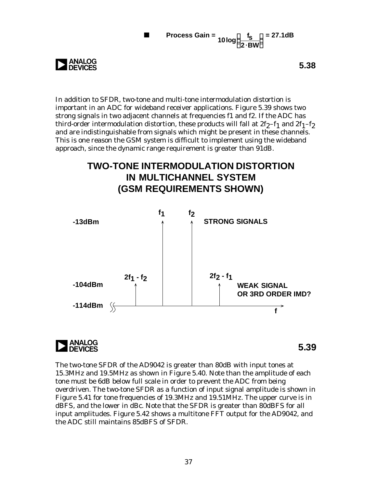



In addition to SFDR, two-tone and multi-tone intermodulation distortion is important in an ADC for wideband receiver applications. Figure 5.39 shows two strong signals in two adjacent channels at frequencies f1 and f2. If the ADC has third-order intermodulation distortion, these products will fall at 2f $_2$ –f $_1$  and 2f $_1$ –f $_2$ and are indistinguishable from signals which might be present in these channels. This is one reason the GSM system is difficult to implement using the wideband approach, since the dynamic range requirement is greater than 91dB.

# **TWO-TONE INTERMODULATION DISTORTION IN MULTICHANNEL SYSTEM (GSM REQUIREMENTS SHOWN)**





**5.39**

The two-tone SFDR of the AD9042 is greater than 80dB with input tones at 15.3MHz and 19.5MHz as shown in Figure 5.40. Note than the amplitude of each tone must be 6dB below full scale in order to prevent the ADC from being overdriven. The two-tone SFDR as a function of input signal amplitude is shown in Figure 5.41 for tone frequencies of 19.3MHz and 19.51MHz. The upper curve is in dBFS, and the lower in dBc. Note that the SFDR is greater than 80dBFS for all input amplitudes. Figure 5.42 shows a multitone FFT output for the AD9042, and the ADC still maintains 85dBFS of SFDR.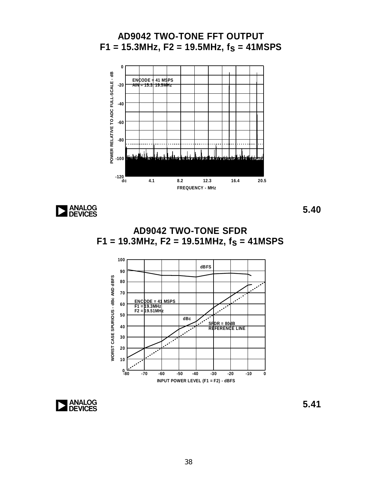

**AD9042 TWO-TONE FFT OUTPUT**







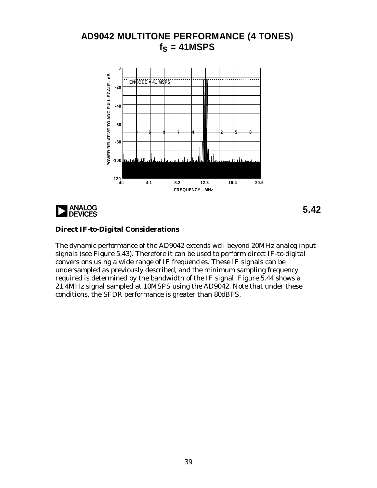## **AD9042 MULTITONE PERFORMANCE (4 TONES)**  $f<sub>S</sub> = 41MSPS$



### **Direct IF-to-Digital Considerations**

The dynamic performance of the AD9042 extends well beyond 20MHz analog input signals (see Figure 5.43). Therefore it can be used to perform direct IF-to-digital conversions using a wide range of IF frequencies. These IF signals can be undersampled as previously described, and the minimum sampling frequency required is determined by the bandwidth of the IF signal. Figure 5.44 shows a 21.4MHz signal sampled at 10MSPS using the AD9042. Note that under these conditions, the SFDR performance is greater than 80dBFS.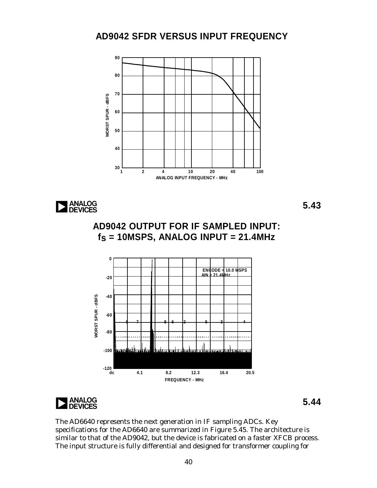# **AD9042 SFDR VERSUS INPUT FREQUENCY**





ANALOG 5.44

The AD6640 represents the next generation in IF sampling ADCs. Key specifications for the AD6640 are summarized in Figure 5.45. The architecture is similar to that of the AD9042, but the device is fabricated on a faster XFCB process. The input structure is fully differential and designed for transformer coupling for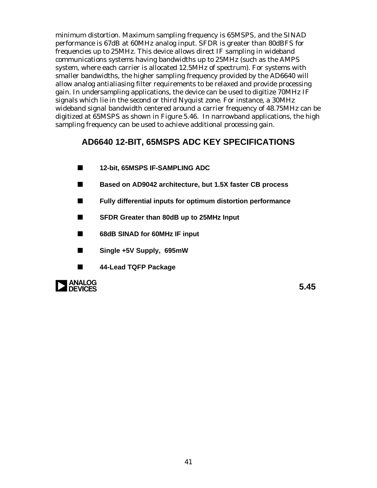minimum distortion. Maximum sampling frequency is 65MSPS, and the SINAD performance is 67dB at 60MHz analog input. SFDR is greater than 80dBFS for frequencies up to 25MHz. This device allows direct IF sampling in wideband communications systems having bandwidths up to 25MHz (such as the AMPS system, where each carrier is allocated 12.5MHz of spectrum). For systems with smaller bandwidths, the higher sampling frequency provided by the AD6640 will allow analog antialiasing filter requirements to be relaxed and provide processing gain. In undersampling applications, the device can be used to digitize 70MHz IF signals which lie in the second or third Nyquist zone. For instance, a 30MHz wideband signal bandwidth centered around a carrier frequency of 48.75MHz can be digitized at 65MSPS as shown in Figure 5.46. In narrowband applications, the high sampling frequency can be used to achieve additional processing gain.

## **AD6640 12-BIT, 65MSPS ADC KEY SPECIFICATIONS**

- 12-bit, 65MSPS IF-SAMPLING ADC
- Based on AD9042 architecture, but 1.5X faster CB process
- $\blacksquare$  Fully differential inputs for optimum distortion performance
- **Net SFDR Greater than 80dB up to 25MHz Input**
- $\blacksquare$  **68dB SINAD for 60MHz IF input**
- Single +5V Supply, 695mW
- **n** 44-Lead TQFP Package



**5.45**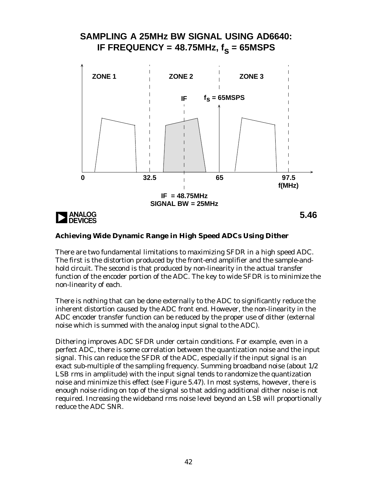

### **Achieving Wide Dynamic Range in High Speed ADCs Using Dither**

There are two fundamental limitations to maximizing SFDR in a high speed ADC. The first is the distortion produced by the front-end amplifier and the sample-andhold circuit. The second is that produced by non-linearity in the actual transfer function of the encoder portion of the ADC. The key to wide SFDR is to minimize the non-linearity of each.

There is nothing that can be done externally to the ADC to significantly reduce the inherent distortion caused by the ADC front end. However, the non-linearity in the ADC encoder transfer function can be reduced by the proper use of dither (external noise which is summed with the analog input signal to the ADC).

Dithering improves ADC SFDR under certain conditions. For example, even in a perfect ADC, there is some correlation between the quantization noise and the input signal. This can reduce the SFDR of the ADC, especially if the input signal is an exact sub-multiple of the sampling frequency. Summing broadband noise (about 1/2 LSB rms in amplitude) with the input signal tends to randomize the quantization noise and minimize this effect (see Figure 5.47). In most systems, however, there is enough noise riding on top of the signal so that adding additional dither noise is not required. Increasing the wideband rms noise level beyond an LSB will proportionally reduce the ADC SNR.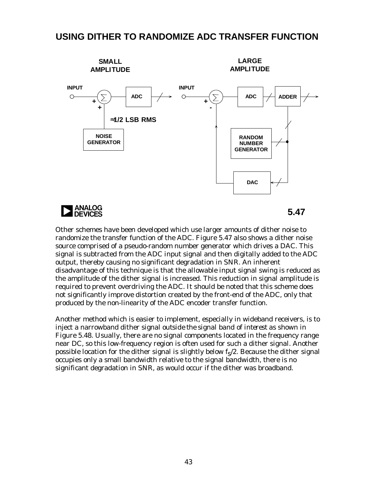### **USING DITHER TO RANDOMIZE ADC TRANSFER FUNCTION**



Other schemes have been developed which use larger amounts of dither noise to randomize the transfer function of the ADC. Figure 5.47 also shows a dither noise source comprised of a pseudo-random number generator which drives a DAC. This signal is subtracted from the ADC input signal and then digitally added to the ADC output, thereby causing no significant degradation in SNR. An inherent disadvantage of this technique is that the allowable input signal swing is reduced as the amplitude of the dither signal is increased. This reduction in signal amplitude is required to prevent overdriving the ADC. It should be noted that this scheme does not significantly improve distortion created by the front-end of the ADC, only that produced by the non-linearity of the ADC encoder transfer function.

Another method which is easier to implement, especially in wideband receivers, is to inject a narrowband dither signal *outside the signal band of interest* as shown in Figure 5.48. Usually, there are no signal components located in the frequency range near DC, so this low-frequency region is often used for such a dither signal. Another possible location for the dither signal is slightly below  $\mathrm{f}_\mathbf{S}/2.$  Because the dither signal occupies only a small bandwidth relative to the signal bandwidth, there is no significant degradation in SNR, as would occur if the dither was broadband.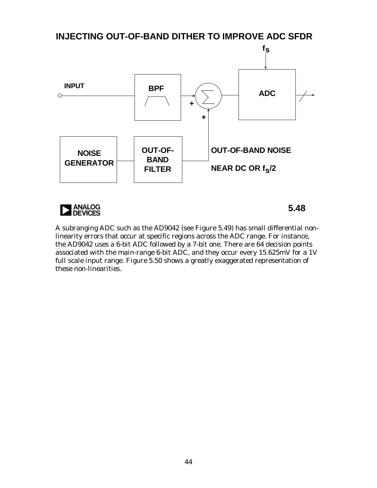### **INJECTING OUT-OF-BAND DITHER TO IMPROVE ADC SFDR**



**ANALOG**<br>DEVICES

**5.48**

A subranging ADC such as the AD9042 (see Figure 5.49) has small differential nonlinearity errors that occur at specific regions across the ADC range. For instance, the AD9042 uses a 6-bit ADC followed by a 7-bit one. There are 64 decision points associated with the main-range 6-bit ADC, and they occur every 15.625mV for a 1V full scale input range. Figure 5.50 shows a greatly exaggerated representation of these non-linearities.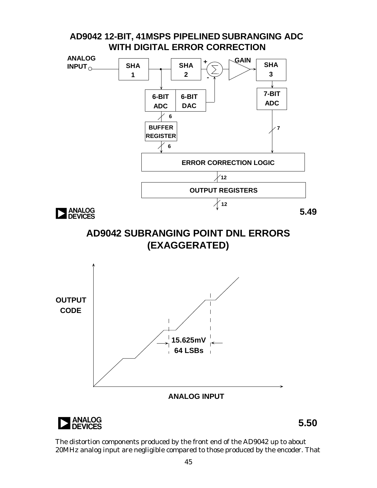

The distortion components produced by the front end of the AD9042 up to about 20MHz analog input are negligible compared to those produced by the encoder. That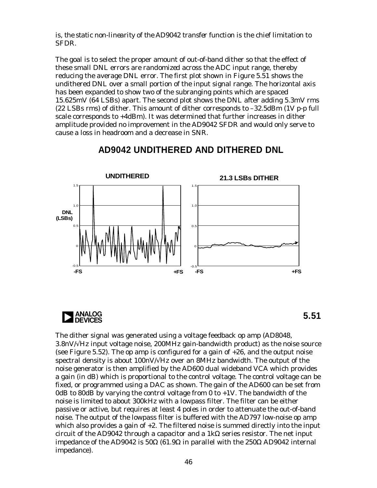is, *the static non-linearity of the AD9042 transfer function* is the chief limitation to SFDR.

The goal is to select the proper amount of out-of-band dither so that the effect of these small DNL errors are *randomized* across the ADC input range, thereby reducing the average DNL error. The first plot shown in Figure 5.51 shows the undithered DNL over a small portion of the input signal range. The horizontal axis has been expanded to show two of the subranging points which are spaced 15.625mV (64 LSBs) apart. The second plot shows the DNL after adding 5.3mV rms (22 LSBs rms) of dither. This amount of dither corresponds to –32.5dBm (1V p-p full scale corresponds to +4dBm). It was determined that further increases in dither amplitude provided no improvement in the AD9042 SFDR and would only serve to cause a loss in headroom and a decrease in SNR.



# **AD9042 UNDITHERED AND DITHERED DNL**



The dither signal was generated using a voltage feedback op amp (AD8048,  $3.8$ nV/ $\sqrt{Hz}$  input voltage noise, 200MHz gain-bandwidth product) as the noise source (see Figure 5.52). The op amp is configured for a gain of +26, and the output noise spectral density is about  $100nV/\overline{Hz}$  over an 8MHz bandwidth. The output of the noise generator is then amplified by the AD600 dual wideband VCA which provides a gain (in dB) which is proportional to the control voltage. The control voltage can be fixed, or programmed using a DAC as shown. The gain of the AD600 can be set from 0dB to 80dB by varying the control voltage from 0 to  $+1V$ . The bandwidth of the noise is limited to about 300kHz with a lowpass filter. The filter can be either passive or active, but requires at least 4 poles in order to attenuate the out-of-band noise. The output of the lowpass filter is buffered with the AD797 low-noise op amp which also provides a gain of +2. The filtered noise is summed directly into the input circuit of the AD9042 through a capacitor and a  $1k\Omega$  series resistor. The net input impedance of the AD9042 is 50Ω (61.9Ω in parallel with the 250Ω AD9042 internal impedance).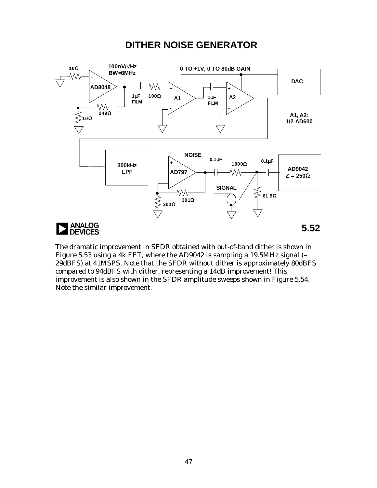## **DITHER NOISE GENERATOR**



The dramatic improvement in SFDR obtained with out-of-band dither is shown in Figure 5.53 using a 4k FFT, where the AD9042 is sampling a 19.5MHz signal (– 29dBFS) at 41MSPS. Note that the SFDR without dither is approximately 80dBFS compared to 94dBFS with dither, representing a 14dB improvement! This improvement is also shown in the SFDR amplitude sweeps shown in Figure 5.54. Note the similar improvement.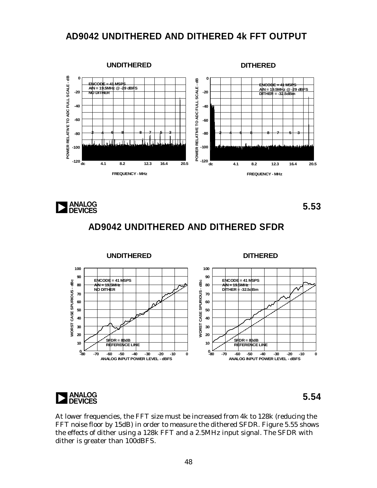## **AD9042 UNDITHERED AND DITHERED 4k FFT OUTPUT**



**EXECUTE SECURE 2.53**<br>A **S 5.53** 







At lower frequencies, the FFT size must be increased from 4k to 128k (reducing the FFT noise floor by 15dB) in order to measure the dithered SFDR. Figure 5.55 shows the effects of dither using a 128k FFT and a 2.5MHz input signal. The SFDR with dither is greater than 100dBFS.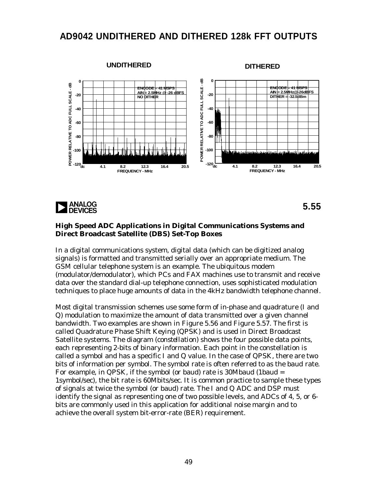## **AD9042 UNDITHERED AND DITHERED 128k FFT OUTPUTS**



**a** ANALOG 5.55

### **High Speed ADC Applications in Digital Communications Systems and Direct Broadcast Satellite (DBS) Set-Top Boxes**

In a digital communications system, digital data (which can be digitized analog signals) is formatted and transmitted serially over an appropriate medium. The GSM cellular telephone system is an example. The ubiquitous modem (modulator/demodulator), which PCs and FAX machines use to transmit and receive data over the standard dial-up telephone connection, uses sophisticated modulation techniques to place huge amounts of data in the 4kHz bandwidth telephone channel.

Most digital transmission schemes use some form of in-phase and quadrature (I and Q) modulation to maximize the amount of data transmitted over a given channel bandwidth. Two examples are shown in Figure 5.56 and Figure 5.57. The first is called Quadrature Phase Shift Keying (QPSK) and is used in Direct Broadcast Satellite systems. The diagram (*constellation*) shows the four possible data points, each representing 2-bits of binary information. Each point in the constellation is called a *symbol* and has a specific I and Q value. In the case of QPSK, there are two bits of information per symbol. The symbol rate is often referred to as the *baud* rate. For example, in QPSK, if the symbol (or baud) rate is 30Mbaud (1baud = 1symbol/sec), the bit rate is 60Mbits/sec. It is common practice to sample these types of signals at twice the symbol (or baud) rate. The I and Q ADC and DSP must identify the signal as representing one of two possible levels, and ADCs of 4, 5, or 6 bits are commonly used in this application for additional noise margin and to achieve the overall system bit-error-rate (BER) requirement.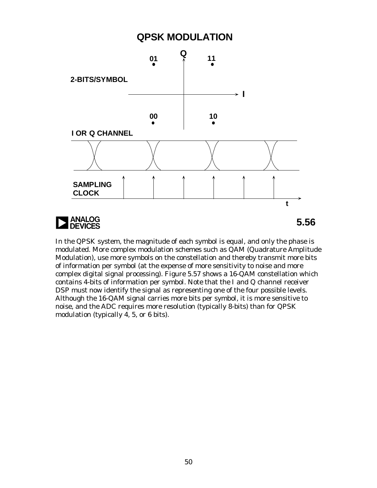

In the QPSK system, the magnitude of each symbol is equal, and only the phase is modulated. More complex modulation schemes such as QAM (Quadrature Amplitude Modulation), use more symbols on the constellation and thereby transmit more bits of information per symbol (at the expense of more sensitivity to noise and more complex digital signal processing). Figure 5.57 shows a 16-QAM constellation which contains 4-bits of information per symbol. Note that the I and Q channel receiver DSP must now identify the signal as representing one of the four possible levels. Although the 16-QAM signal carries more bits per symbol, it is more sensitive to noise, and the ADC requires more resolution (typically 8-bits) than for QPSK modulation (typically 4, 5, or 6 bits).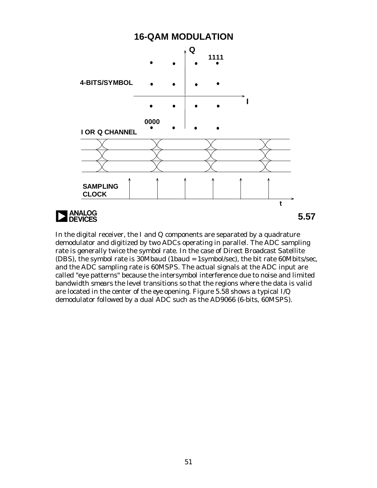

In the digital receiver, the I and Q components are separated by a quadrature demodulator and digitized by two ADCs operating in parallel. The ADC sampling rate is generally twice the symbol rate. In the case of Direct Broadcast Satellite (DBS), the symbol rate is 30Mbaud (1baud = 1symbol/sec), the bit rate 60Mbits/sec, and the ADC sampling rate is 60MSPS. The actual signals at the ADC input are called "eye patterns" because the intersymbol interference due to noise and limited bandwidth *smears* the level transitions so that the regions where the data is valid are located in the center of the *eye* opening. Figure 5.58 shows a typical I/Q demodulator followed by a dual ADC such as the AD9066 (6-bits, 60MSPS).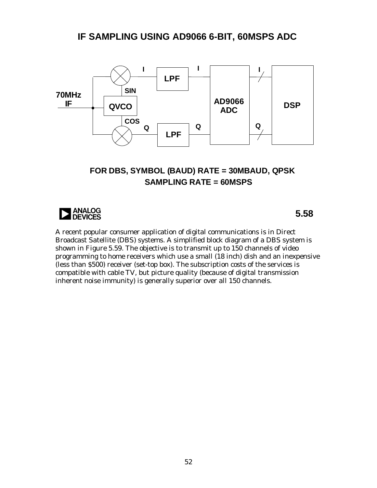## **IF SAMPLING USING AD9066 6-BIT, 60MSPS ADC**



**FOR DBS, SYMBOL (BAUD) RATE = 30MBAUD, QPSK SAMPLING RATE = 60MSPS**



**5.58**

A recent popular consumer application of digital communications is in Direct Broadcast Satellite (DBS) systems. A simplified block diagram of a DBS system is shown in Figure 5.59. The objective is to transmit up to 150 channels of video programming to home receivers which use a small (18 inch) dish and an inexpensive (less than \$500) receiver (set-top box). The subscription costs of the services is compatible with cable TV, but picture quality (because of digital transmission inherent noise immunity) is generally superior over all 150 channels.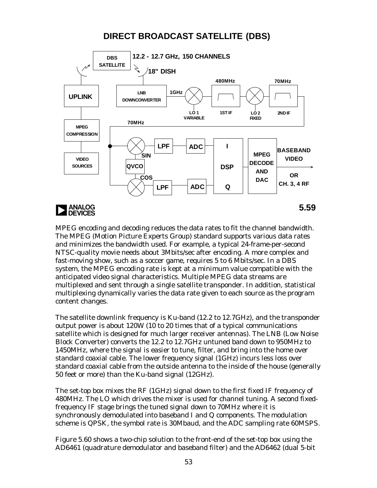## **DIRECT BROADCAST SATELLITE (DBS)**



MPEG encoding and decoding reduces the data rates to fit the channel bandwidth. The MPEG (Motion Picture Experts Group) standard supports various data rates and minimizes the bandwidth used. For example, a typical 24-frame-per-second NTSC-quality movie needs about 3Mbits/sec after encoding. A more complex and fast-moving show, such as a soccer game, requires 5 to 6 Mbits/sec. In a DBS system, the MPEG encoding rate is kept at a minimum value compatible with the anticipated video signal characteristics. Multiple MPEG data streams are multiplexed and sent through a single satellite transponder. In addition, statistical multiplexing dynamically varies the data rate given to each source as the program content changes.

The satellite downlink frequency is Ku-band (12.2 to 12.7GHz), and the transponder output power is about 120W (10 to 20 times that of a typical communications satellite which is designed for much larger receiver antennas). The LNB (Low Noise Block Converter) converts the 12.2 to 12.7GHz untuned band down to 950MHz to 1450MHz, where the signal is easier to tune, filter, and bring into the home over standard coaxial cable. The lower frequency signal (1GHz) incurs less loss over standard coaxial cable from the outside antenna to the inside of the house (generally 50 feet or more) than the Ku-band signal (12GHz).

The set-top box mixes the RF (1GHz) signal down to the first fixed IF frequency of 480MHz. The LO which drives the mixer is used for channel tuning. A second fixedfrequency IF stage brings the tuned signal down to 70MHz where it is synchronously demodulated into baseband I and Q components. The modulation scheme is QPSK, the symbol rate is 30Mbaud, and the ADC sampling rate 60MSPS.

Figure 5.60 shows a two-chip solution to the front-end of the set-top box using the AD6461 (quadrature demodulator and baseband filter) and the AD6462 (dual 5-bit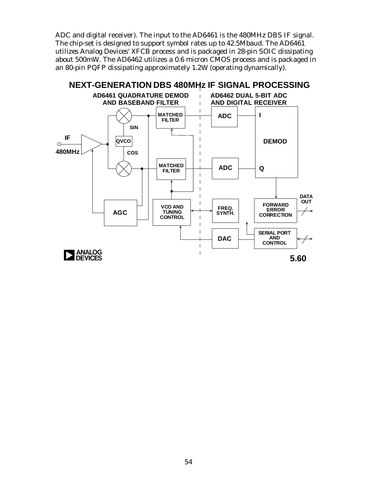ADC and digital receiver). The input to the AD6461 is the 480MHz DBS IF signal. The chip-set is designed to support symbol rates up to 42.5Mbaud. The AD6461 utilizes Analog Devices' XFCB process and is packaged in 28-pin SOIC dissipating about 500mW. The AD6462 utilizes a 0.6 micron CMOS process and is packaged in an 80-pin PQFP dissipating approximately 1.2W (operating dynamically).



### **NEXT-GENERATION DBS 480MHz IF SIGNAL PROCESSING**